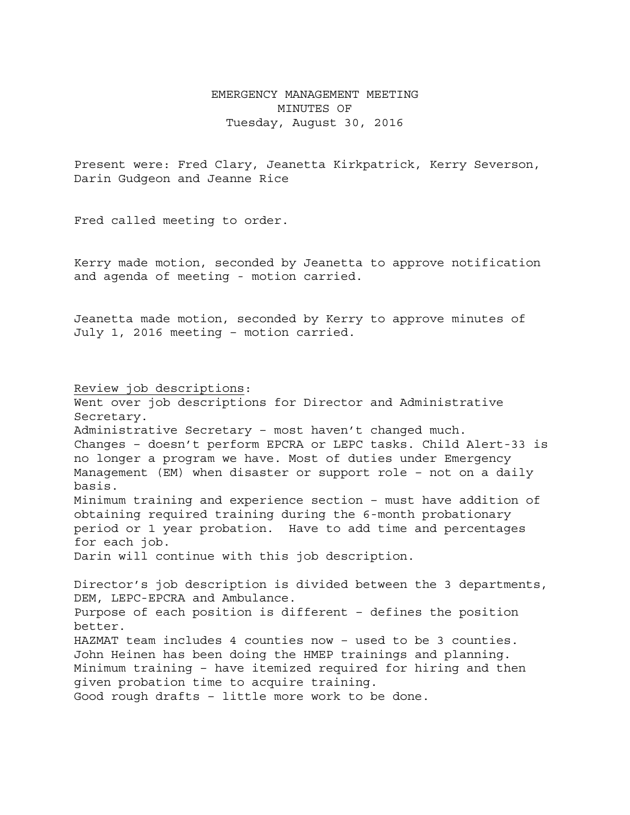## EMERGENCY MANAGEMENT MEETING MINUTES OF Tuesday, August 30, 2016

Present were: Fred Clary, Jeanetta Kirkpatrick, Kerry Severson, Darin Gudgeon and Jeanne Rice

Fred called meeting to order.

Kerry made motion, seconded by Jeanetta to approve notification and agenda of meeting - motion carried.

Jeanetta made motion, seconded by Kerry to approve minutes of July 1, 2016 meeting – motion carried.

Review job descriptions: Went over job descriptions for Director and Administrative Secretary. Administrative Secretary – most haven't changed much. Changes – doesn't perform EPCRA or LEPC tasks. Child Alert-33 is no longer a program we have. Most of duties under Emergency Management (EM) when disaster or support role – not on a daily basis. Minimum training and experience section – must have addition of obtaining required training during the 6-month probationary period or 1 year probation. Have to add time and percentages for each job. Darin will continue with this job description. Director's job description is divided between the 3 departments, DEM, LEPC-EPCRA and Ambulance. Purpose of each position is different – defines the position better. HAZMAT team includes 4 counties now – used to be 3 counties. John Heinen has been doing the HMEP trainings and planning. Minimum training – have itemized required for hiring and then given probation time to acquire training. Good rough drafts – little more work to be done.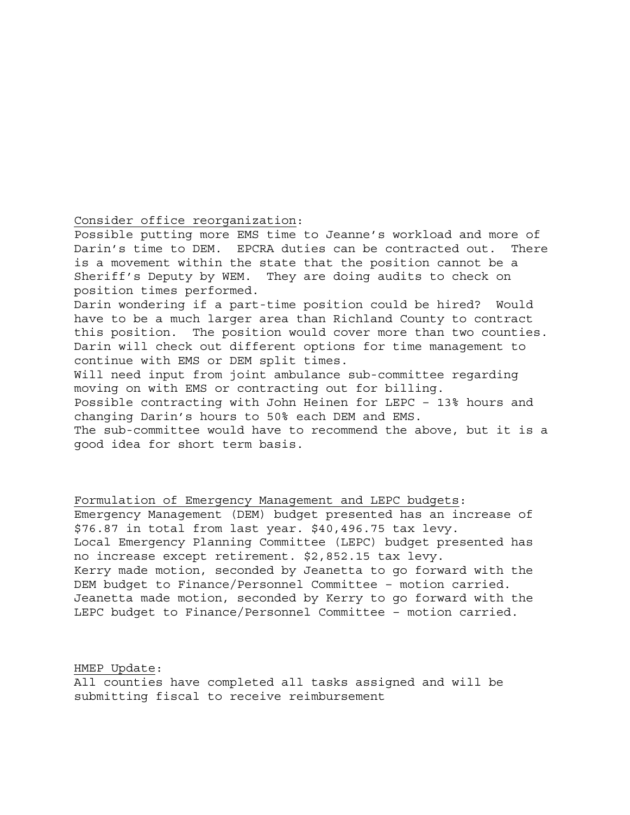## Consider office reorganization:

Possible putting more EMS time to Jeanne's workload and more of Darin's time to DEM. EPCRA duties can be contracted out. There is a movement within the state that the position cannot be a Sheriff's Deputy by WEM. They are doing audits to check on position times performed. Darin wondering if a part-time position could be hired? Would

have to be a much larger area than Richland County to contract this position. The position would cover more than two counties. Darin will check out different options for time management to continue with EMS or DEM split times.

Will need input from joint ambulance sub-committee regarding moving on with EMS or contracting out for billing. Possible contracting with John Heinen for LEPC – 13% hours and changing Darin's hours to 50% each DEM and EMS. The sub-committee would have to recommend the above, but it is a good idea for short term basis.

Formulation of Emergency Management and LEPC budgets: Emergency Management (DEM) budget presented has an increase of \$76.87 in total from last year. \$40,496.75 tax levy. Local Emergency Planning Committee (LEPC) budget presented has no increase except retirement. \$2,852.15 tax levy. Kerry made motion, seconded by Jeanetta to go forward with the DEM budget to Finance/Personnel Committee – motion carried. Jeanetta made motion, seconded by Kerry to go forward with the LEPC budget to Finance/Personnel Committee – motion carried.

HMEP Update: All counties have completed all tasks assigned and will be submitting fiscal to receive reimbursement